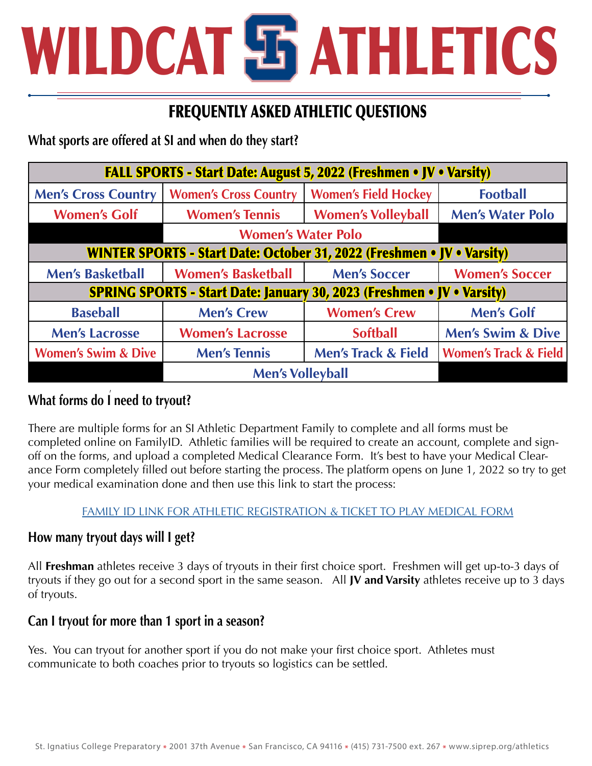# WILDCAT **E ATHLETICS**

## FREQUENTLY ASKED ATHLETIC QUESTIONS

**What sports are offered at SI and when do they start?**

| <b>FALL SPORTS - Start Date: August 5, 2022 (Freshmen • JV • Varsity)</b>     |                              |                                |                                  |
|-------------------------------------------------------------------------------|------------------------------|--------------------------------|----------------------------------|
| <b>Men's Cross Country</b>                                                    | <b>Women's Cross Country</b> | <b>Women's Field Hockey</b>    | <b>Football</b>                  |
| <b>Women's Golf</b>                                                           | <b>Women's Tennis</b>        | <b>Women's Volleyball</b>      | <b>Men's Water Polo</b>          |
|                                                                               | <b>Women's Water Polo</b>    |                                |                                  |
| <b>WINTER SPORTS - Start Date: October 31, 2022 (Freshmen • JV • Varsity)</b> |                              |                                |                                  |
| <b>Men's Basketball</b>                                                       | <b>Women's Basketball</b>    | <b>Men's Soccer</b>            | <b>Women's Soccer</b>            |
| <b>SPRING SPORTS - Start Date: January 30, 2023 (Freshmen • JV • Varsity)</b> |                              |                                |                                  |
| <b>Baseball</b>                                                               | <b>Men's Crew</b>            | <b>Women's Crew</b>            | <b>Men's Golf</b>                |
| <b>Men's Lacrosse</b>                                                         | <b>Women's Lacrosse</b>      | <b>Softball</b>                | <b>Men's Swim &amp; Dive</b>     |
| <b>Women's Swim &amp; Dive</b>                                                | <b>Men's Tennis</b>          | <b>Men's Track &amp; Field</b> | <b>Women's Track &amp; Field</b> |
|                                                                               | <b>Men's Volleyball</b>      |                                |                                  |

#### $\overline{a}$ **What forms do I need to tryout?**

There are multiple forms for an SI Athletic Department Family to complete and all forms must be completed online on FamilyID. Athletic families will be required to create an account, complete and signoff on the forms, and upload a completed Medical Clearance Form. It's best to have your Medical Clearance Form completely filled out before starting the process. The platform opens on June 1, 2022 so try to get your medical examination done and then use this link to start the process:

#### [FAMILY ID LINK FOR ATHLETIC REGISTRATION & TICKET TO PLAY MEDICAL FORM](https://www.familyid.com/st-ignatius-college-preparatory)

### **How many tryout days will I get?**

All **Freshman** athletes receive 3 days of tryouts in their first choice sport. Freshmen will get up-to-3 days of tryouts if they go out for a second sport in the same season. All **JV and Varsity** athletes receive up to 3 days of tryouts.

#### **Can I tryout for more than 1 sport in a season?**

Yes. You can tryout for another sport if you do not make your first choice sport. Athletes must communicate to both coaches prior to tryouts so logistics can be settled.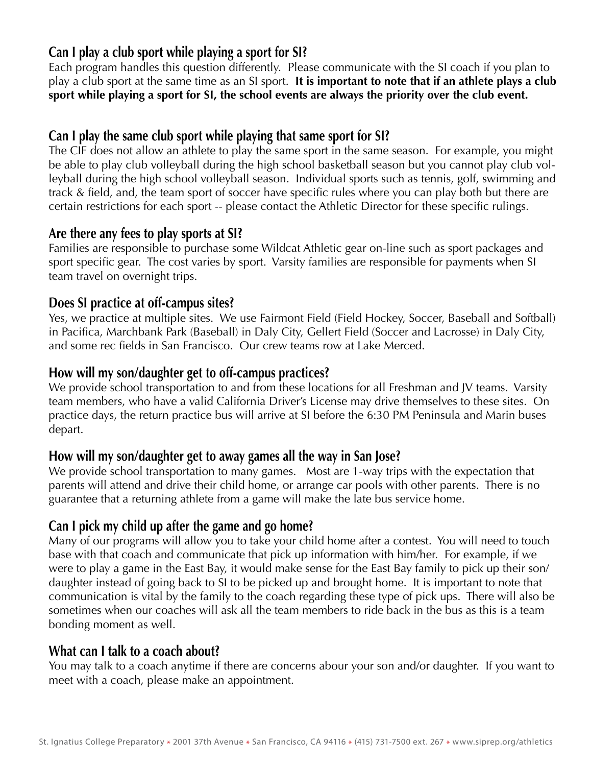#### **Can I play a club sport while playing a sport for SI?**

Each program handles this question differently. Please communicate with the SI coach if you plan to play a club sport at the same time as an SI sport. **It is important to note that if an athlete plays a club sport while playing a sport for SI, the school events are always the priority over the club event.**

#### **Can I play the same club sport while playing that same sport for SI?**

The CIF does not allow an athlete to play the same sport in the same season. For example, you might be able to play club volleyball during the high school basketball season but you cannot play club volleyball during the high school volleyball season. Individual sports such as tennis, golf, swimming and track & field, and, the team sport of soccer have specific rules where you can play both but there are certain restrictions for each sport -- please contact the Athletic Director for these specific rulings.

#### **Are there any fees to play sports at SI?**

Families are responsible to purchase some Wildcat Athletic gear on-line such as sport packages and sport specific gear. The cost varies by sport. Varsity families are responsible for payments when SI team travel on overnight trips.

#### **Does SI practice at off-campus sites?**

Yes, we practice at multiple sites. We use Fairmont Field (Field Hockey, Soccer, Baseball and Softball) in Pacifica, Marchbank Park (Baseball) in Daly City, Gellert Field (Soccer and Lacrosse) in Daly City, and some rec fields in San Francisco. Our crew teams row at Lake Merced.

#### **How will my son/daughter get to off-campus practices?**

We provide school transportation to and from these locations for all Freshman and JV teams. Varsity team members, who have a valid California Driver's License may drive themselves to these sites. On practice days, the return practice bus will arrive at SI before the 6:30 PM Peninsula and Marin buses depart.

#### **How will my son/daughter get to away games all the way in San Jose?**

We provide school transportation to many games. Most are 1-way trips with the expectation that parents will attend and drive their child home, or arrange car pools with other parents. There is no guarantee that a returning athlete from a game will make the late bus service home.

#### **Can I pick my child up after the game and go home?**

Many of our programs will allow you to take your child home after a contest. You will need to touch base with that coach and communicate that pick up information with him/her. For example, if we were to play a game in the East Bay, it would make sense for the East Bay family to pick up their son/ daughter instead of going back to SI to be picked up and brought home. It is important to note that communication is vital by the family to the coach regarding these type of pick ups. There will also be sometimes when our coaches will ask all the team members to ride back in the bus as this is a team bonding moment as well.

#### **What can I talk to a coach about?**

You may talk to a coach anytime if there are concerns abour your son and/or daughter. If you want to meet with a coach, please make an appointment.